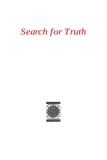# *Search for Truth*

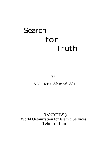# **Search for Truth**

# by:

# S.V. Mir Ahmad Ali

# ( WOFIS) World Organization for Islamic Services Tehran - Iran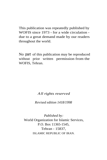This publication was repeatedly published by WOFIS since 1973 - for a wide circulation due to a great demand made by our readers throughout the world.

No part of this publication may be reproduced without prior written permission from the WOFIS, Tehran.

*All rights reserved*

*Revised edition 1418/1998*

*Published by:* World Organization for Islamic Services, P.O. Box 11365-1545, Tehran - 15837, ISLAMIC REPUBLIC OF IRAN.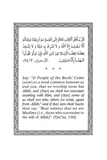قُلْ يْـأَهْلَ ٱلْكِتْبِ تَعَالَوْ إِلَىٰ كَلِمَــةٍ سَوَ آءٍ بَيَّنَنَا وَبَيَّنَكُمْ أَلَّا نَـعْـبُـدَ إِلَّا ٱللَّهَ وَ لَا نُشْرِكَ بِهِ شَيْئًا وَ لَا يَتَّـخِذَ بَعْضُنَا بَعْضًا أَزْبَـابًا مِّنْ دُرْنِ ٱللَّٰهِ فَإِنْ تَوَلَّوْ فَقُولُواْ آشْهَدُواْ بِأَنَّا مُسْلِمُونَ. (آل عمران ، ٣/ ٦٤).

Say: "O People of the Book! Come (now) to a word common between us and you, that we worship none but Allāh, and (that) we shall not associate anything with Him, and (that) some of us shall not take others for lords, apart from Allāh;" and if they turn their backs then say: "Bear witness that we are Muslims (i.e., those who surrender to the will of Allah)". (Qur'an, 3:64)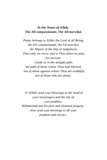## *In the Name of Allah, The All-compassionate, The All-merciful,*

*Praise belongs to Allah, the Lord of all Being; the All-compassionate, the All-merciful; the Master of the Day of Judgement; Thee only we serve, and to Thee alone we pray for succour; Guide us in the straight path; the path of those whom Thou hast blessed, not of those against whom Thou art wrathful, nor of those who are astray.*

*O' Allah! send your blessings to the head of your messengers and the last of your prophets, Muhammad and his pure and cleansed progeny. Also send your blessings to all your prophets and envoys.*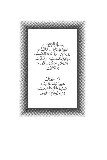ۑٮ۫ڸٙڟ۫ٳؘڒٙػڒٳڸؼؘ<br>ٱڬۯڸڣۯؘٮڹٳڵػڵڸؘڗؼ؆ڰؘؚڗڷػۣڛ<br>ؠٙٳۿڔؘٳڷؿۻٳڷػڷؠؘػ؆ػٳڸڷػ؊ٙۿؠڽؙ<br>ٳٙۿڔؘٳٲڷؾۯڵڟڷۺؙ؊ٙڣؾڒۦڝٳڟٙڷڵڹؙۜؾ<br>ٲۺؾؘڟ۪ڹڔم۫؏ؽٳڸڂڞۛۏ؊ۣڟێۿ؎<br>ٲۺؾؘڟؘڹڔم۫؏ؽٳڸڂڞۛۏ؊ۣڟێۿڝڂ ٱل<del>ۡ</del>ۿۮ؎ٙڷۣ؆ڟ<br>؊ڿێۏۮڂٳڵػڮڟٲڋؚٳۜڹٚۑۣ۬ٳڷڸػ<br>ۿػ؊ٙڸۯٵڸٳٲڟؾؙؚۣڛٜٲڶڟٞٳؗ*ۿڕڹ*؊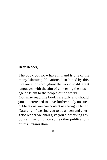### **Dear Reader,**

The book you now have in hand is one of the many Islamic publications distributed by this Organization throughout the world in different languages with the aim of conveying the message of Islam to the people of the world.

You may read this book carefully and should you be interested to have further study on such publications you can contact us through a letter. Naturally, if we find you to be a keen and energetic reader we shall give you a deserving response in sending you some other publications of this Organization.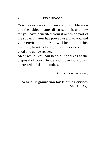#### DEAR READER

You may express your views on this publication and the subject matter discussed in it, and how far you have benefited from it or which part of the subject matter has proved useful to you and your environment. You will be able, in this manner, to introduce yourself as one of our good and active reader.

Meanwhile, you can keep our address at the disposal of your friends and those individuals interested in Islamic studies.

*Publication Secretary,*

## **World Organization for Islamic Services** ( WOFIS)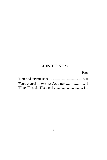# **CONTENTS**

## **Page**

| The Truth Found 11 |  |
|--------------------|--|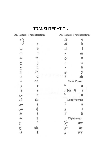# **TRANSLITERATION**

|             | Ar. Letters Transliteration |        | Ar. Letters Transliteration                    |  |
|-------------|-----------------------------|--------|------------------------------------------------|--|
|             | ,                           | ق      | q                                              |  |
|             | a                           | ای     | k                                              |  |
|             | b                           | ل      | l                                              |  |
| ل - ن<br>1  | t                           | ۴      | m                                              |  |
|             | th                          | ن      | $\mathbf n$                                    |  |
|             | j                           | و      | W                                              |  |
|             | ķ                           | ۵      | h                                              |  |
| いついっ        | kh                          | ي      | y                                              |  |
|             | d                           |        | ah                                             |  |
| ذ           | dh                          |        | Short Vowel                                    |  |
| ر           | r                           |        | a                                              |  |
|             | z                           |        | i<br>$\sum_{n=1}^{\infty}$ (or $\frac{1}{n}$ ) |  |
|             | S                           |        | u                                              |  |
| ز<br>س<br>ش | sh                          |        | <b>Long Vowels</b>                             |  |
| ص           | Ş                           |        | ã                                              |  |
| ض           | ạ                           |        | ī                                              |  |
| T           | ţ                           | ي<br>و | ū                                              |  |
| ظ           | Ļ                           |        | Diphthongs                                     |  |
|             |                             |        | aw                                             |  |
| م. م.<br>م  | gh                          |        | ay                                             |  |
|             | f                           |        | іуу                                            |  |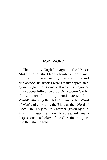The monthly English magazine the "Peace Maker", published from- Madras, had a vast circulation. It was read by many in India and also abroad. Its articles were greatly appreciated by many great religionists. It was this magazine that successfully answered Dr. Zwemer's mischievous article in the journal "Me Muslim World" attacking the Holy Qur'an as the `Word of Man' and glorifying the Bible as the `Word of God'. The reply to Dr. Zwemer, given by this Muslim magazine from Madras, led many dispassionate scholars of the Christian religion into the Islamic fold.

1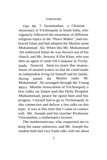One Mr. T. Swaminathan, a Christian missionary at Trichinopoly in South India, who regularly followed the treatment of different religious topics in the "Peace Maker", had embraced Islam and had adopted the Muslim name Muhammad `Ali. When this Mr. Muhammad `Ali embraced Islam he was thrown out of his church, and Mr. Anwaru 'd-Din Khan, who was then an agent of some Oil Company at Trichy, kindly financed him to start the manufature of aerated waters so that he could make an independent living for himself and his family. Having joined the Muslim ranks Mr. Muhammad `Ali arranged through the Young Men's Muslim Association of Trichinopoly a few talks on Islam and the Holy Prophet Muhammad, peace be upon him and his progeny. I myself had to go to Trichinopoly in this connection and deliver a few talks on this topic. It was at this time that I came in contact with Mr. Joseph and his teacher Professor Viswanathan, a mathematics lecturer.

The mathematician, who requested me to keep his name unknown, and Mr. Joseph his student both had very frank talks with me about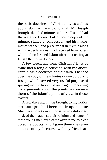the basic doctrines of Christianity as well as about Islam. At the end of our talk Mr. Joseph brought detailed minutes of our talks and had them signed by me. I also took a copy of the minutes signed by Mr. Joseph and his mathematics teacher, and preserved it in my file along with the declarations I had received from others who had embraced Islam after discussing at length their own doubts.

A few weeks ago some Christian friends of mine had a long discussion with me about certain basic doctrines of their faith. I handed over the copy of the minutes drawn up by Mr. Joseph which served very useful purpose of sparing me the labour of once again repeating my arguments about the points to convince them of the Islamic point of view in these matters.

A few days ago it was brought to my notice that attempts had been made upon some Muslim students in a Christian institution to mislead them against their religion and some of these young men even came over to me to clear up some doubts, and I gave them the same minutes of my discourse with my friends at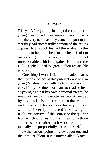Trichy. After going through the matter the young men copied down some of the arguments and the very next day they came to report to me that they had successfully convinced the critics against Islam and desired the matter in the minutes to be published for the benefit of our own young men who very often had to meet unreasonable criticism against Islam and the Holy Prophet. I had to agree to their reasonable proposal.

One thing I would like to be made clear is that the sole object of this publication is to arm young Muslim minds with the truth, and nothing else. If anyone does not want to read or hear anything against his own personal views, he need not persue this matter or hear it persued by anyone. I wish it to be known that what is said in this small booklet is exclusively for those who are sincerely interested in knowing the truth irrespective of the source or the quarter from which it comes. By this I mean only those sincere seekers after truth who are temperamentally and purposefully earnest in seeking to know the various points of view about one and the same problem. It is a universally acknowl-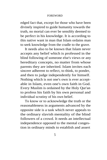edged fact that, except for those who have been divinely inspired to guide humanity towards the truth, no mortal can ever be sensibly deemed to be perfect in his knowledge. It is according to this native want in man that Islam ordains man to seek knowledge from the cradle to the grave.

It needs also to be known that Islam never accepts any belief which is professed in the blind following of someone else's views or any hereditary concepts, no matter from whose parents they are inherited. Islam invites each sincere adherent to reflect, to think, to ponder, and then to judge independently for himself. Nothing which is not one's own is ever acceptable in Islam, even one's own faith in God. Every Muslim is ordained by the Holy Qur'an to profess his faith by his own personal and individual scrutiny of his own belief.

To know or to acknowledge the truth or the reasonableness in arguments advanced by the opposite side is a task which never appeals to the ordinary slavish mentality of the blind followers of a crowd. It needs an intellectual independence opposed to the mental congestion in ordinary minds to establish and assert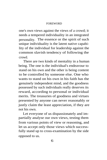one's own views against the views of a crowd; it needs a tempered individuality in an integrated personality. The essence or the spirit of such unique individuality is the latent native capability of the individual for leadership against the common slavish tendency of following the crowd.

There are two kinds of mentality in a human being. The one is the individual's endeavour to stand on his own and the other is being content to be controlled by someone else. One who wants to stand on his own in his faith has the genuinely independent mind, and the goodness possessed by such individuals really deserves its reward, according to personal or individual merits. The treasuries of goodness and virtues presented by anyone can never reasonably or justly claim the least appreciation, if they are not his own.

Let everyone of us dispassionately and impartially analyse our own views, testing them from various points of view or reasoning, and let us accept only those views which successfully stand up to cross-examination by the side opposed to us.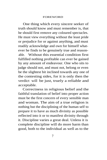One thing which every sincere seeker of truth should know and must remember is, that he should first remove any coloured spectacles. He must view everything without the least pride or prejudice for or against anything, and must readily acknowledge and own for himself whatever he finds to be genuinely true and reasonable. Without this essential condition first fulfilled nothing profitable can ever be gained by any amount of endeavour. One who sits to judge should not, and must not, belong or even be the slightest bit inclined towards any one of the contesting sides, for it is only then the verdict will be just, truely a reliable and acceptable.

Correctness in religious belief and the faithful translation of belief into proper action must be the first concern of every sensible man and woman. The aim of a true religion is nothing but the disciplining of the human self to prepare it to have as much divinity as possible reflected into it or to manifest divinity through it. Discipline varies a great deal. Unless it is complete discipline will do more harm than good, both to the individual as well as to the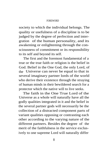society to which the individual belongs. The quality or usefulness of a discipline is to be judged by the degree of perfection and intergration of the human personality, and its awakening or enlightening through the consciousness of commitment or its responsibility to its self and beyond its self.

The first and the foremost fundamental of a true or the true faith or religion is the belief in God. Belief in the One God, the only Lord, of the Universe can never be equal to that in several imaginary partner lords of the world who derive their existence through the straying of human minds in their bewildered search for a protector which the native will to live seeks.

The faith in the One True Lord of the Universe as a whole will naturally have all the godly qualities integrated in it and the belief in the several partner gods will necessarily be the collection of a distracted component parts of variant qualities opposing or contrasting each other according to the varying nature of the different partners. Besides the degree of the merit of the faithfulness in the service exclusively to one supreme Lord will naturally differ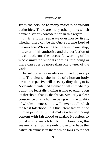from the service to many masters of variant authorities. There are many other points which demand serious consideration in this regard.

It is another separate question by itself, whether there can be the One Supreme Lord of the universe Who with the manifest ownership, integrity of his authority and the perfection of his control, runs the successful working of the whole universe since its coming into being or there can ever be more than one owner of the world.

Falsehood is not easily swallowed by everyone. The cleaner the inside of a human body the more repulsive will be every dirty thing to it. A cleanly maintained stomach will immediately vomit the least dirty thing trying to enter even its threshold, that is, the throat. Similarly a clear conscience of any human being with the quality of wholesomeness in it, will never at all relish the least falsehood. It is this latent factor in the human personality that makes a human being content with falsehood or makes it restless to put it in the search for truth. Therefore, the seekers after truth are only those who have the native cleanliness in them which longs to reflect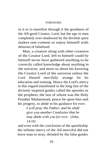in it or to manifest through it the goodness of the All-good Creator, Lord, but the ego in man completely over-shadowed by the devilish spirit makes one content or enjoy himself with delusion of falsehood.

Man, a creature along with other creatures of the Creator Lord, left to himself could by himself never have gathered anything to be correctly called knowledge about anything in the universe, and more so about his knowing the Creator Lord of the universe unless the Lord Himself mercifully arrange for his education and training. Hence the Lord's mercy in this regard manifested in the long line of the divinely inspired guides called the apostles or the prophets, the last of whom was the Holy Porphet Muhammad, peace be upon him and his progeny, to abide in his guidance for ever:

> *I will pray the Father, and he shall give you another Comforter that he may abide with you for ever.* (John, *14:16)*

and even with the conclusion of the apostleship the infinite mercy of the All-merciful did not leave man to stray, deluded by the false guides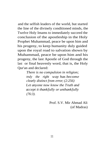and the selfish leaders of the world, but started the line of the divinely conditioned minds, the Twelve Holy Imams to immediately succeed the conclusion of the apostleship in the Holy Prophet Muhammad, peace be upon him and his progeny, to keep humanity duly guided upon the royal road to salvation shown by Muhammad, peace be upon him and his progeny, the last Apostle of God through the last or final heavenly word, that is, the Holy Qur'an and declared:

> *There is no compulsion in religion; truly the right way has become clearly distinct from error; (2:256) Let anyone now know the Truth and accept it thankfully or unthankfully (76:3).*

> > Prof. S.V. Mir Ahmad Ali (of Madras)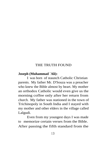## THE TRUTH FOUND

### **Joseph (Muhammad `Ali):**

I was born of staunch Catholic Christian parents. My father Mr. D'Souza was a preacher who knew the Bible almost by heart. My mother an orthodox Catholic would even give us the morning coffee only after her return from church. My father was stationed in the town of Trichinopoly in South India and I stayed with my mother and other elders in the village called Lalgudi.

Even from my youngest days I was made to memorize certain verses from the Bible. After passing the fifth standard from the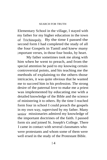Elementary School in the village, I stayed with my father for my higher education in the town of Trichinopoly. By the time I passed the second form I had completed the study of all the four Gospels in Tamil and knew many important verses, in those four books, by heart.

My father sometimes took me along with him when he went to preach, and from the special attention he paid to my knowing certain controversial points, and his teaching me the methods of explaining to the others those intricacies, it was quite obvious that he wanted me to succeed him in his profession. The strong desire of the paternal love to make me a priest was implemented by educating me with a detailed knowledge of the Bible and the science of ministering it to others. By the time I reached form four in school I could preach the gospels in my own way, supervised by my father. Many senior missionaries admired my knowledge of the important doctrines of the faith. I passed form six and joined St. Joseph's College. There I came in contact with several classmates who were protestants and whom some of them were well ersed in the study of the Protestant Bible.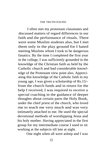I often met my protestant classmates and discussed matters of regard differences in our faith and the performance of rituals. There were some Muslim students also, but I met them only in the play ground for I hated meeting Muslims whom I took to be dangerous fanatics. By the time I completed the first year in the college, I was sufficiently grounded in the knowldge of the Christian faith as held by the Catholic church and had considerable knowledge of the Protestant view point also. Appreciating this knowledge of the Catholic faith in my young age, I was given a scholarship of Rs.15/ from the church funds and in return for the help I received, I was required to receive a special coaching in the guidance of deeper thoughts about certain parts the Holy Book, under the chief priest of the church, who loved me to teach me very much and was very intimately attached to me. He used the special devotional methods of worshipping Jesus and his holy mother. Having appreciated in the first group for my intermediate course I used to sit working at the subjects till late at night.

One night when all were asleep and I was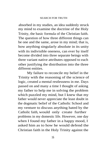absorbed in my studies, an idea suddenly struck my mind to examine the doctrine of the Holy Trinity, the basic formula of the Christian faith. The question of how three different things can be one and the same, arose in my mind; that is, how anything singularly absolute in its unity with its indivisible oneness, can ever by itself become divided into three separate beings with three variant native attributes opposed to each other justifying the distribution into the three different entities.

My failure to reconcile my belief in the Trinity with the reasoning of the science of logic, created a mental restlessness in me. Days passed on and many a time I thought of asking my father to help me in solving the problem which puzzled my mind, but I knew that my father would never appreciate the least doubt in the dogmatic belief of the Catholic School and my venture to discuss anything hated by the Catholic faith, would only create further problems in my domestic life. However, one day when I found my father in a happy mood, I asked him as to how he would defend the Christian faith in the Holy Trinity against the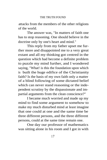attacks from the members of the other religions of the world.

The answer was, "In matters of faith one has to stop reasoning. One should believe in the doctrine only by one's heart and mind."

This reply from my father upset me further more and disappointed me to a very great extant and all my thinking got centred in the question which had become a definite problem to puzzle my mind further, and I wondered saying, "What! is this the foundation upon which is built the huge edifice of the Christianity faith? Is the basis of my own faith only a matter of a blind following of some dictated belief which can never stand reasoning or the independent scrutiny by the dispassionate and impartial arguments from the clean conscience?"

I became much worried and made up my mind to find some argument to somehow to make my much disturbed mind at least imagine that one could at one and the same time be three different persons, and the three different persons, could at the same time remain one.

One day our professor of mathematics was sitting alone in his room and I got in with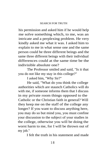his permission and asked him if he would help me solve something which, to me, was an intricate and a perplexing problem. He very kindly asked me what it was. I asked him to explain to me in what sense one and the same person could be three different beings and the same three different beings with their individual differences could at the same time be the indivisible absolute one?

The Professor smiled and said, "Is it that you do not like my stay in this college?"

I asked him, "Why Sir?"

He said, "What do you think the college authorities which are staunch Catholics will do with me, if someone informs them that I discuss in my private room things opposed to the Catholic or the Christian faith in general? Will they keep me on the staff of the college any longer? If you want to discuss anything here, you may do so but mind you, you must confine your discussion to the subject of your studies in the college, otherwise you will be doing the worst harm to me, for I will be thrown out of my job."

I felt the truth in his statement and made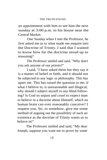an appointment with him to see him the next sunday at 3:00 p.m. in his house near the Central Market.

One Sunday when I met the Professor, he first asked me as to what made me enquire into the Doctrine of Trinity. I said that I wanted to know how far the doctrine stood up to reasoning?

The Professor smiled and said, "Why don't you ask anyone of our priests?"

I said, "I have asked them but they say it is a matter of belief or faith, and it should not be subjected to any logic or philosophy. This has upset me. This has raised the question in me, if what I believe in, is unreasonable and illogical, why should I subject myself to any blind following? Is God so unjust and cruel to expect man to believe in a doctrine about Himself, which no human brain can ever reasonably conceive? I request you, Sir, to somehow, give me some method of arguing out the possibility of such an existence as the doctrine of Trinity wants us to believe in!"

The Professor smiled and said, "My dear Joseph, suppose you want me to prove by some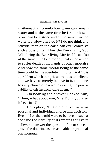mathematical formula how water can remain water and at the same time be fire, or how a stone can be a stone and at the same time be water too. How can I do it? I do not think any sensible man on the earth can ever conceive such a possibility. How the Ever-living God Who being the Ever-living Life itself, can also at the same time be a mortal, that is, be a man to suffer death at the hands of other mortals? And how the same mortal being at the same time could be the absolute immortal God? It is a problem which our priests want us to believe, and we have to merely believe in it, and none has any choice of even questioning the practicability of this inconceivable dogma."

On hearing the answer I asked him, "Then, what about you, Sir? Don't you also believe in it?"

He replied, "It is a matter of my own personal and individual choice and decision. Even if I or the world were to believe in such a doctrine the liability still remains for every believer to answer the question if he or she can prove the doctrine as a reasonable or practical phenomena."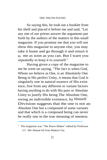So saying this, he took out a booklet from his shelf and placed it before me and said, "Let any one of our priests answer the arguments put forth by the authors of the matters in this small magazine. If you promise me that you will not show this magazine to anyone else, you may take it home and go through it and return it to me as soon as you can. But I warn you repeatedly to keep it to yourself."

Having given a copy of the magazine to me he went on saying, "The fact is when God, Whom we believe as One, is an Absolutely One Being in His perfect Unity, it means that God is singularly one in natural essence of His existence, free from any different or variant factors having anything to do with His pure or Absolute Unity to justify His being The Absolute One, owing an indivisible existence, by Himself. Division suggests that the one is not an Absolute One but a compound of some variants and that which is a composed being can never be really one in the true meaning of oneness.

<sup>&#</sup>x27; The magazine was "The Peace-Maker" edited by Professor S.V. Mir Ahmad Ali from Madras City.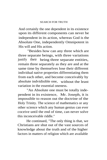And certainly the one dependent in its existence upon its different components can never be independent in its action, whereas God is the Absolute One, independently Omnipotent in His will and His action.

"Besides how can any three which are three separate beings, with three variations justify their being three separate entities, remain three separately as they are and at the same time by themselves lose their different individual native properties differentiating them from each other, and become conceivably by absolute indvidisible one, without the least variation in the essential oneness.

"An Absolute one must be totally independent in its existence, Mr. Joseph, it is impossible to reason out the doctrine of the Holy Trinity. The science of mathematics or any other science which any human genius can ever coceive until the end of time, can never solve this inconceivable riddle."

He continued, "The only thing is that, we Christians are shut out of the vast sources of knowledge about the truth and of the higher factors in matters of religion which are available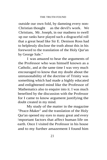outside our own fold, by damning every non-Christian thought as the devil's work. We Christians, Mr. Joseph, in our madness to swell up our ranks have played such a disgraceful roll that a great head like Sir E. Denison Ross had to helplessly disclose the truth about this in his foreword to the translation of the Holy Qur'an by George Sale."

I was amazed to hear the arguments of the Professor who was himself known as a Catholic, and at the same time I was very much encouraged to know that my doubt about the unreasonability of the doctrine of Trinity was something which had made a highly educated and enlightened mind like the Professor of Mathematics also to enquire into it. I was much benefited by the discussion with the Professor for I came to know argument justifying the doubt created in my mind.

My study of the matter in the magazine "Peace-Maker" and the translation of the Holy Qur'an opened my eyes to many great and every important factors that affect human life on earth. Once I visited the Professor in his house and to my further amazement I found him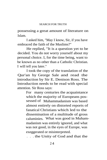possessing a great amount of literature on Islam.

I asked him, "May I know, Sir, if you have embraced the faith of the Muslims?"

He replied, "It is a question yet to be decided. You do not worry yourself about my personal choice. I, for the time being, want to be known as no other than a Catholic Christian. I will tell you later."

I took the copy of the translation of the Qur'an by George Sale and read the introduction by Sir E. Denison Ross. The Introduction needs to be read with special attention. Sir Ross says:

> For many centuries the acquaintance which the majority of Europeans possessed of Muhammadanism was based almost entirely on distorted reports of fanatical Christians which led to the dissemination of a multitude of gross caluminies. What was good in Muhammadanism was entirely ignored, and what was not good, in the eyes of Europe, was exeggerated or misinterpreted.

. . . the Unity of God and that the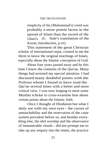simplicity of his [Muhammad's] creed was probably a more potent factor in the spread of Islam than the sword of the Ghazi's. (G. Sale's translation of the Koran, Introduction, p.vii)

This statement of the great Christian scholar of international reput, created in me the thirst to know the original teachings of Islam, especially about the Islamic conception of God.

About four years passed away and by this time I knew the contents of the Qur'an. Many things had arrested my special attention. I had discussed many doubtful points with the Professor whom I found to have read the Qur'an several times with a better and more critical view. I was now longing to meet some Muslim scholar to cross-examine him about certain points about the Islamic faith.

Once I thought of Hinduism but what I daily see with my own eyes - the curses of untouchability and the reservation of the caste system prevalent before us, and besides everything else, the idol worship and the observance of innumerable rituals - did not prompt me to take up any enquiry into the tenets, the practice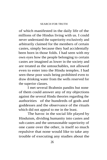#### SEARCH FOR TRUTH

of which manifested in the daily life of the millions of the Hindus living with us. I could never understand the superiority exclusively and arbitrarily claimed for the members of certain castes, simply because they had accidentally been born in those folds. I had seen with my own eyes how the people belonging to certain castes are imagined as lower in the society and are treated as the untouchables, not allowed even to enter into the Hindu temples. I had seen these poor souls being prohibited even to draw drinking water from the wells reserved for the superior classes.

I met several Brahmin pandits but none of them could answer any of my objections against the several Hindu theories regarding the authorities of the hundreds of gods and goddesses and the observance of the rituals which did not appeal to me in the least.

The havoc in the social life played by Hinduism, dividing humanity into castes and sub-castes and the unreasonable superiority of one caste over the other, is itself so much repulsive that none would like to take any trouble of executing any studies about the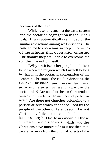doctrines of the faith.

While resenting against the caste system and the sectarian segregation in the Hindu folds, I was automatically reminded of the similar restrictions among we Christians. The caste hatred has been sunk so deep in the minds of the Hindus that even after entering Christianity they are unable to overcome the complex. I asked to myself.

"Why criticise other people and their belief when the religion which I myself belong to, has in it the sectarian segregation of the Brahmin Christians, the Naidu Christians, the Chuckli Christians and the similar many sectarian differences, having a full sway over the social order? Are not churches in Christendom owned exclusively for the members of particular sects? Are there not churches belonging to a particular sect which cannot be used by the people of the other different sect? Has not Christianity failed to unite mankind into one human society? Did Jesus mean all these differences and dissensions which we the Christians have innovated? Is it not then that we are far away from the original objects of the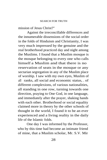mission of Jesus Christ?"

Against the irreconcillable differences and the innumerable dissensions of the social order in the folds of Hinduism and Christianity, I was very much impressed by the genuine and the real brotherhood practiced day and night among the Muslims. I found that a Muslim mosque is the mosque belonging to every one who calls himself a Muslim and that there is no reservation of seats in the mosque or any sectarian segregation in any of the Muslim place of worship. I saw with my own eyes, Muslim of all ranks, all social and economic status, . of different complexions, of various nationalities, all standing in one row, turning towards one direction, praying to One God, in one language, and immediately after the prayer, shaking hands with each other. Brotherhood or social equality claimed more in theory by the other schools of thought in the world, I found it to be an ever experienced and a living reality in the daily life of the Islamic folds.

One day I was informed by the Professor, who by this time had become an intimate friend of mine, that a Muslim scholar, Mr. S.V. Mir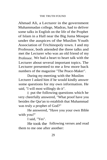Ahmad Ali, a Lecturer in the government Muhammadan college, Madras, had to deliver some talks in English on the life of the Prophet of Islam in a Hall near the Big Juma Mosque under the auspices of the Muslim Youth Association of Trichinopoly town. I and my Professor, both attended the three talks and met the Lecturer who was an old friend of my Professor. We had a heart to heart talk with the Lecturer about several important topics. The Lecturer presented to me a few more back numbers of the magazine "The Peace-Maker".

During my meeting with the Muslim Lecturer I asked him if he would kindly answer some questions for my own information. He said, "I will most willingly do it".

I put the following questions which he very cheerfully answered, "What proof have you besides the Qur'an to establish that Muhammad was truly a prophet of God?"

He answered, "Have you your own Bible with you?"

I said, "Yes".

He took the following verses and read them to me one after another: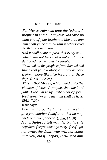#### SEARCH FOR TRUTH

*For Moses truly said unto the fathers, A prophet shall the Lord your God raise up unto you of your bretheren, like unto me; him shall ye hear in all things whatsoever he shall say unto you.*

*And it shall come to pass, that every soul, which will not hear that prophet, shall be destroyed from among the people.*

*Yea,, and all the prophets from Samuel and those that follow after, as many as have spoken, have likewise foretold of these days. (Acts, 3:22-24)*

*This is that Moses, which said unto the children of Israel, A prophet shall the Lord your God raise up unto you of your bretheren, like unto me; him shall ye hear.* (ibid., 7:37)

Jesus says:

*And I will pray the Father, and he shall give you another Comforter, that he may abide with you for ever.* (John, 14:16) *Nevertheless I tell you the truth; It is expedient for you that I go away: for if I go not away, the Comforter will not come unto you; but if I depart, I will send him*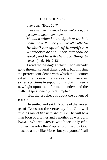# THE TRUTH FOUND

*unto you.* (ibid., 16:7)

*I have yet many things to say unto you, but ye cannot bear them now.*

*Howbeit when he, the Spirit of truth, is come, he will guide you into all truth: for he shall not speak of himself; but whatsoever he shall hear, that shall he speak; and he will shew you things to come.* (ibid., 16:12-13)

I read the passages which I had already gone through several times beofre, but this time the perfect confidence with which the Lecturer asked me to read the verses from my own sacred scriptures in support of his claim, threw a new light upon them for me to understand the matter dispassionately. Yet I replied:

"But the prophecy is about the advent of Jesus?"

He smiled and said, "You read the verses again! Does not the verse say that God will raise *a Prophet like unto Moses, i.e.,* he will be a man born of a father and a mother as was born Moses; whereas Jesus was born only of a mother. Besides the Prophet promised by God must be a man like Moses but you yourself call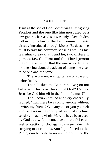## SEARCH FOR TRUTH

Jesus as the son of God. Moses was a law-giving Prophet and the one like him must also be a law-giver, whereas Jesus was only a law-abider, following the law or the Ten Commandments already introduced through Moses. Besides, one must betray his common sense as well as his learning to say that I and he, two different person, i.e., the First and the Third person mean the same, or that the one who departs prophesying about the advent of some one else, to be one and the same."

The argument was quite reasonable and unbreakable.

Then I asked the Lecturer, "Do you not believe in Jesus as the son of God? Cannot Jesus be God himself in the form of a man?"

The Lecturer smiled and very cheerfully replied, "Can there be a son to anyone without a wife, my friend? Can anyone or you yourself who believes in the sonship of Jesus, at any time sensibly imagine virgin Mary to have been used by God as a wife to conceive an issue? Let us seek protection of God against any such devilish straying of our minds. Sonship, if used in the Bible, can be only to mean a creature or the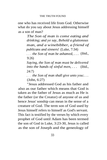one who has received life from God. Otherwise what do you say about Jesus addressing himself as a son of man?

> *The Son of man is come eating and drinking; and ye say, Behold a gluttonous man, and a winebibber, a friend of publicans and sinners!* (Luke, 7:34)

. . . *the Son of man be ashamed, . . .* (ibid., 9:26)

*Saying, the Son of man must be delivered into the hands of sinful men, . . .* (ibid., 24:7)

. . . *the Son of man shall give unto you:. . .* (John, 6:27)

"Jesus addressed God as his father and also as our father which means that God is taken as the father of Jesus as much as He is the father (or the Creator) of anyone of us and hence Jesus' sonship can mean in the sense of a creature of God. The term son of God used by Jesus himself refers to himself as God's servant. This fact is testified by the verses by which every prophet of God until Adam has been termed the son of God in Luke, 3:23-30, Jesus is called as the son of Joseph and the geneology of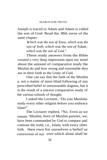Joseph is traced to Adam and Adam is called the son of God. Read the 38th verse of the same chapter:

> *Which was the son of Enos, which was the son of Seth, which was the son of Adam, which was the son of God."*

These ready answers from the Bible created a very deep impression upon my mind about the amount of comparative study the Muslim do and how strong and reasonable they are in their faith in the Unity of God.

One can say that the faith of the Muslim is not a matter of mere blind following of any prescribed belief in unreasonable dogmas, but it is the result of a sincere comparative study of the various schools of thought.

I asked the Lecturer, "Do you Muslims study every other religion before you embrace Islam?"

The Lecturer replied, "No. Even as we remain Muslim, born of Muslim parents, we, have been commanded by God to compare and contrast the truth, i.e., Islam, with every other faith, then own for ourselves a belief or conviction of our own which alone shall be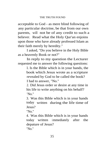acceptable to God - as mere blind following of any particular doctrine, be that from our own parents, will not be of any credit to such a believer. Read what the Holy Qur'an enjoins upon those who have already professed Islam as their faith merely by heredity."

I asked, "Do you believe in the Holy Bible as a heavenly Book or not?"

In reply to my question the Lecturer requested me to answer the following questions:

> l. Is the Bible which is in your hands, the book which Jesus wrote as a scripture revealed by God to be called the book? I had to answer, "No."

> 2. Did Jesus order or desire at any time in his life to write anything on his behalf? "No."

> 3. Was this Bible which is in your hands today written during the life time of Jesus?

"No."

4. Was this Bible which is in your hands today written immediately after the depature of Jesus?

"No."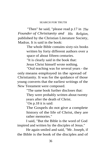#### SEARCH FOR TRUTH

"Then" he said, "please read p.17 in *The Founder of Christianity and His Religion,* published by the Christian Literature Society, Madras. It is said in the book:

> The whole Bible contains sixty-six books written by forty different authors over a space of about fifteen centuries.

"It is clearly said in the book that:

Jesus Christ himself wrote nothing.

"Oral teaching was for several years - the only means employed in the spread of Christianity. It was for the quidance of those young converts that the earliest writings of the New Testament were composed.

"The same book further discloses that:

They were probably written about twenty years after the death of Christ.

"On p.18 it is said:

The Gospels do not give a complete history of the life of Christ, they are rather memories."

I said, "But the Bible is the word of God inspired and written by the disciples of Jesus."

He again smiled and said, "Mr. Joseph, if the Bible is the book of the disciples and of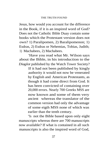Jesus, how would you account for the difference in the Book, if it is an inspired word of God? Does not the Catholic Bible Duay contain some books which the Protestant version does not own? 1) Paralipomen, 2) Baralipomenon; 1) Esdras, 2) Esdras or Nehemias, Tobias, Judith; 1) Machabees, 2) Machabees.

"Have you read what Mr. Wilson says about the Bible, in his introduction to the *Diaglot* published by the Watch Tower Society?

> If it had not been published by kingly authority it would not now be venerated by English and. American Protestants, as though it had come direct from God. It has been convicted of containing over 20,000 errors. Nearly 700 Greeks MSS are now known and some of them very ancient whereas the translator of the common version had only the advantage of some eigth MSS none of which was earlier than the tenth century.

"Is not the Bible based upon only eight manuscripts whereas there are 700 manuscripts now available? If what is contained in all such manuscripts is also the inspired word of God,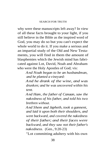why were these manuscripts left away? In view of all these facts brought to your light, if you still believe in the Bible as the inspired word of God, you may do so but you can't expect the whole world to do it. If you make a serious and an impartial study of the Old and New Testaments, you will find in them the amount of blasphemies which the Jewish mind has fabricated against Lot, David, Noah and Abraham who were the Holy Apostles of God; vis:

> *And Noah began to be an husbandman, and he planted a vineyard:*

> *And he drank of the wine, and was drunken; and he was uncovered within his tent.*

> *And Ham, the father of Canaan, saw the nakedness of his father, and told his two brethren without.*

> *And Shem and Japheth, took a gannent, and laid it upon both their shoulders, and went backward, and covered the nakedness of their father; and their faces were backward, and they saw not their father's nakedness.* (Gen., 9:20-23)

"Lot committing adultery with his own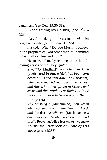daughters; (see Gen. 19:30-38).

"Noah getting over-drunk; (see Gen., 9:21).

"David taking possession of his neighbour's wife; (see 11 Sam., 11:2-5)."

I asked, "What? Do you Muslims believe in the prophets of God other than Muhammad to be totally sinless and holy?"

He answered me by reciting to me the following verses of the Holy Qur'an:

> *Say: "*(O Muslims!) *We believe in Allah* (God), *and in that which has been sent down on us and sent down on Abraham, Ishmael, Issac and Jacob, and the Tribes, and that which was given to Moses and Jesus and the Prophets of their Lord; we make no division between any of them,*

*. . ."* (2:136)

*The Messenger* (Muhammad) *believes in what was sent down to him from his Lord, and* (so do) *the believers* (Muslims); *each one believes in Allah and His angles, and in His Books and His Messengers; we make no division between any one of His Messengers.* (2:285)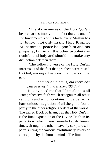"The above verses of the Holy Qur'an bear clear testimony to the fact that, as one of the fundamentals of his faith, every Muslim has to believe not only in the Holy Prophet Muhammad, peace be upon him and his progeny, but in all the other prophets as truthful and holy and should not make any distinction between them.

"The following verse of the Holy Qur'an informs us of the fact that prophets were raised by God, among all nations in all parts of the earth:

# . . . *not a nation there is, but there has passed away in it a warner. (35:24)"*

It convinced me that Islam alone is all -comprehensive faith which recognizes all other religions and which contains in it a perfectly harmonious integration of all the good found partly in the other religious orders of the world. The sacred Book of Islam, i.e., the Holy Qur'an, is the final exposition of the Divine Truth in its perfection which was revealed at different times, through the other heavenly scriptures, in parts suiting the various evolutionary levels of conception by the human minds. The limitation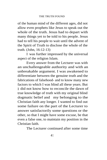of the human mind of the different ages, did not allow even prophets like Jesus to speak out the whole of the truth. Jesus had to depart with many things yet to be told to his people. Jesus had to tell his people to wait until the advent of the Spirit of Truth to disclose the whole of the truth. (John, 16:12-13)

I was further impressed by the universal aspect of the religion Islam.

Every answer from the Lecturer was with an unchallengeable authority and with an unbreakable argument. I was awakened to differentiate between the genuine truth and the fabrications of falsehood- and to know many new factors to which I was blind all these years. But I did not know how to reconcile the dawn of true knowledge of truth with my original blind dogmatic belief and my belonging to the Christian faith any longer. I wanted to find out some failure on the part of the Lecturer to answer satisfactorily some questions or the other, so that I might have some excuse, be that even a false one, to maintain my position in the Christian faith.

The Lecturer continued after some time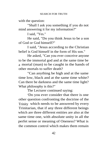with the question:

"Shall I ask you something if you do not mind answering it for my information?"

I said, "Yes."

He said, "Do you think Jesus to be a son of God or God himself?"

I said, "Jesus according to the Christian belief is God himself in the form of His son."

He asked, "Can you ever conceive anyone to be the immortal god and at the same time be a mortal (man) to be caught in the hands of other mortals to suffer death?

"Can anything be high and at the same time low, black and at the same time white? Can there be darkness and the same time light? What philosophy is this?"

The Lecturer continued saying:

"Do you ever consider that there is one other question confronting the doctrine of the Trinity which needs to be answered by every Trinitarian, that if any three different beings which are three different entities are also at the same time one, with absolute unity in all the perfet sense or meaning of Oneness? What is the common control which makes them remain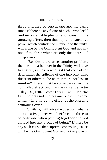# THE TRUTH FOUND

three and also be one at one and the same time? If there be any factor of such a wonderful and inconceivable phenomenon causing this amazing effect, then that supreme causative power which controls the number and the unity, will alone be the Omnipotent God and not any one of the three which are only the controlled components.

"Besides, there arises another problem, the question a believer in the Trinity will have to answer, i.e., as to who is it that controls or determines the splitting of one into only three different others, to be neither more nor less in number? There must be some cause for this controlled effect, and that the causative factor acting supreme over three will be the Omnipotent God and not any one of the three which will only be the effect of the supreme controlling cause.

"Similarly, will arise the question, what is the causative power which effects the three to be only one when joining together and not divided into any groups of beings? If there be any such cause, that supreme controlling cause will be the Omnipotent God and not any one of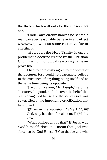the three which will only be the subservient one.

"Under any circumstances no sensible man can ever reasonably believe in any effect whatsoever, without some causative factor effecting it.

"However, the Holy Trinity is only a problematic doctrine created by the Christian Church which no logical reasoning can ever prove true."

I had to helplessly agree to the views of the Lecturer, for I could not reasonably believe in the existence of anything being itself and at the same time being its opposite.

"I would like you, Mr. Joseph," said the Lecturer, "to ponder a little over the belief that Jesus being God himself or the son of God, was so terrified at the impending crucification that he shouted:

> *"Eli, Eli lama sabachthani?" (My* God, my God, why has thou forsaken me?) (Math., 27:46)

"What philosophy is that? If Jesus was God himself, does it mean that god was forsaken by God Himself? Can that be god who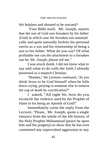felt helpless and shouted to be rescued?

"Your Bible itself, Mr. Joseph, reports that the son of God was forsaken by his father (God) in which case the forsaken son automati cally and quite naturally forfeits his personal merits as a son and his relationship of being a son to his father. What do you say? Of what profitable use can the attachment to a forsaken son be, Mr. Joseph, please tell me."

I was struck dumb. I did not know what to say and what to do with the faith I already possessed as a staunch Christian.

"Besides," the Lecturer continued, "do you think Jesus to be God himself when he falls down crying, praying to someone else to remove the cup of death by crucification?"

I asked, "All right Sir, how do you reconcile the violence used by the Prophet of Islam to his being an Apostle of God?"

Immediately came the reply from the Lecturer, "Please, Mr. Joseph, quote a single instance from the whole of the life history of the Holy Prophet Muhammad (peace be upon him and his progeny) to show that he has ever committed any unprovoked aggression or any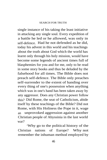#### SEARCH FOR TRUTH

single instance of his taking the least initiative in attacking any single soul. Every expedition of a battle he led or he allowed, was only in self-defence. Had he not defended as he did, today his advent in this world and his teachings about the truth about God which the world has learnt only through his holy mission, would have become some legends of ancient times full of blasphemies for you and for me, only to be read in some story books and thus be deluded by the falsehood for all times. The Bible does not preach self-defence. The Bible only preaches self-surrender to the extent of handing over every thing of one's possession when anything which was in one's hand has been taken away by any aggressor. Does any Christian power follow this? Did Rome, the seat of Catholicism, abide itself by these teachings of the Bible? Did not Rome, with His Holiness the Pope in it, wage an unprovoked aggression against another Christian people of Abyssinia in the last world war?

"Why go to the political history of the Christian nations of Europe? Why not remember the inhuman method employed by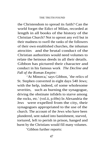the Christendom to spread its faith? Can the world forget the Edict of Milan, recorded at length in all books of the history of the Christian Church? Not to uproot any evil but in their madness to swell the ranks of the followers of their own established churches, the inhuman attrocities and the brutal conduct of the Christian authorities would need volumes to relate the heinous deeds in all their details. Gibbon has pictured their character and conduct in his famous work *The Decline and Fall of the Roman Empire:*

*"`*At Minorca,' says Gibbon, `the relics of St. Stephen converted in eight days 540 Jews; with the help, indeed, of some wholesome severities, such as burning the synagogue, driving the obstinate infidels to starve among the rocks, etc.' (vol.ii, p.69n) In Alexandria the Jews were expelled from the city, their synagogues appropriated to the use of the church. The account of the Jews who have been plundered, sent naked into banishment, starved, tortured, left to perish in prison, hanged and burnt by the Christians would fill many volumes.

"Gibbon further reports: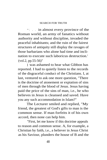"... in almost every province of the Roman world, an army of fanatics without authority and without discipline, invaded the peaceful inhabitants; and the ruin of the fairest structures of antiquity still display the ravages of those barbarians who alone had time and inclination to execute such laboricus destruction.' (vol.2, pp.55-56)"

I was ashamed to hear what Gibbon has reported. I had to quietly listen to the records of the disgraceful conduct of the Christians. I, at last, ventured to ask one more question, "There is the doctrine of atonement or expiation of sins of men through the blood of Jesus. Jesus having paid the price of the sins of man, i.e., he who believes in Jesus is cleansed and saved. Have you any such accommodation in Islam?"

The Lecturer smiled and replied, "My friend, the greatest of God's gifts to man is the common sense. If man forfeits it of his own accord, then none can help him.

"First, let me know if this doctrine appeals to reason and common sense. A, for example, a Christian by faith, i.e., a believer in Jesus Christ as his Saviour, plunders the house of B and the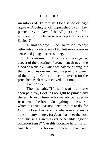members of B's family. Does sense or logic agree to A being let off unpunished by any law, particularly the law of the All-just Lord of the universe, simply because A accepts Jesus as his Saviour?"

I had to say, "No", because, to say otherwise would mean I forfeit my common sense and go against reasoning.

He continued, "There is one very grave aspect of the doctrine of atonement through the blood of Jesus, i.e., when we pay for a thing, the thing becomes our own and the previous owner of the thing forfeits all his claim over it for the price he has already received. Is it not?"

I said, "Yes."

Then he said, "If the sins of man have been paid for, God has no right to punish any sinner. Every sinner who merely believes in Jesus would be free to do anything in the world which his brutal passion dectates him to do, for God his Lord has no right whatsoever even to question any sinner, for Jesus has met the cost of all his sins. Can this ever be sensible logic or common sense? Can this doctrine help life on earth to continue for one moment in peace and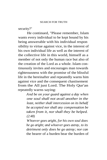security?"

He continued, "Please remember, Islam wants every individual to be kept bound by his being answerable with his individual respon sibility to virtue against vice, in the interest of his own individual life as well as the interest of the collective life in this world, himself as a member of not only the human race but also of the creation of the Lord as a whole. Islam continuously invites and encourages man towards righteousness with the promise of the blissful life in the hereinafter and repeatedly warns him against vice and the consequent chastisement from the All just Lord. The Holy Qur'an repeatedly warns saying:

> *And be on your guard against a day when one soul shall not avail another in the least, neither shall intercession on its behalf be accepted nor shall any compensation be taken from it, nor shall they be helped. (2:48)*

> *Whoever goes aright, for his own soul does he go aright; and whoever goes astray, to its detriment only does he go astray; nor can* the bearer of a burden bear the burden of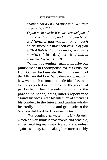*another, nor do We chastise until We raise an apostle. (17:15)*

*O you men! surely We have created you of a male and female, and made you tribes and families that you may know each other; surely the most honourable of you with Allah is the one among you most careful* (of his duty); *surely Allah is knowing, Aware. (49:13)*

"While threatening man with grievous punishment in recompense for his evils, the Holy Qur'an discloses also the infinite mercy of the All-merciful Lord Who does not want man, however much a sinner the individual be, to be totally dejected or hopeless of the merciful pardon from Him. The only condition for the pardon he needs, being inner's repentance against his vices, with his intention of amending his conduct in the future, and turning wholeheartedly to obedience and gratitude to the All-merciful Lord for His infinite Grace.

"For goodness sake, tell me, Mr. Joseph, which do you think is reasonable and sensible, either making man intoxicated and careless against sinning, i.e., making him unreasonably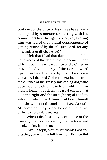confident of the price of his sins as has already been paid by someone or alerting with his commitment to virtue against vice, i.e., keeping him warned of the natural consequence of getting punished by the All-just Lord, for any misconduct or disobedience?"

I felt that I had that day understood the hollowness of the doctrine of atonement upon which is built the whole edifice of the Christian faith. The divine mercy of the Lord dawned upon my heart, a new light of the divine guidance. I thanked God for liberating me from the clutches of the grossly misleading dogmatic doctrine and leading me to Islam which I have myself found through an impartial enquiry that it is the right and the straight royal road to salvation which the All-merciful Lord Himself has shown man through this Last Apostle Muhammad, may peace be on him and his divinely chosen descendants.

When I disclosed my acceptance of the true arguments advanced by the Lecturer and thanked him, he told me:

"Mr. Joseph, you must thank God for blessing you with the fulfilment of His merciful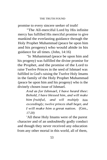promise to every sincere seeker of truth!

"The All-merciful Lord by His infinite mercy has fulfilled His merciful promise to give mankind the everlasting guidance through the Holy Prophet Muhammad (peace be upon him and his progeny) who would abide in his guidance for all times. (John, 14:16)

"In Muhammad (peace be upon him and his progeny) was fulfilled the divine promise for the Prophet, and the promise of the Lord to raise Twelve Princes in the seed of Ishmael was fulfilled in God's raising the Twelve Holy Imams in the family of the Holy Prophet Muhammad (peace be upon him and his progeny) who is the divinely chosen issue of Ishmael.

> *And as for Ishmael, I have heard thee: Behold, I have blessed him, and will make him fruitful, and will multiply him exceedingly; twelve princes shall beget, and I will make him a great nation.* (Gen., *17:20)*

"All these Holy Imams were of the purest character and of an undoubtedly godly conduct and though they never received any education from any other mortal in this world, all of them,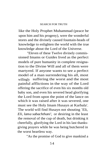### SEARCH FOR TRUTH

like the Holy Prophet Muhammad (peace be upon him and his progeny), were the wonderful stores and the divinely caused fountain-heads of knowledge to enlighten the world with the true knowledge about the Lord of the Universe.

"Eleven of these Twelve divinely commissioned Imams or Guides lived as the perfect models of pure humanity in complete resignation to the Divine Will and all of them were martyred. If anyone wants to see a perfect model of a man surrendering his all, most willingly suffering the worst and the most painful afflictions in the way of the Lord offering the sacrifice of even his six months old baby son, and even his severed head glorifying the Lord from upon the point of the lance on which it was raised after it was severed, one must see the Holy Imam Husayn at Karbala'. The world will find Husayn not shouting `Eli, *Eli, lama sabachthani',* or desiring in the least the removal of the cup of death, but drinking it cheerfully, glorifying the Lord in his last thanksgiving prayers while he was being butchered in the worst heartless way.

"As the promise of God to give mankind a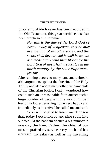prophet to abide forever has been recorded in the Old Testament, this great sacrifice has also been prophesied in Jeremiah:

> *For this is the day of the Lord God of hosts, a day of vengeance, that he may avenge him of his adversaries. and the sword shall devour, and it shall be satiate and made drunk with their blood: for the Lord God of hosts hath a sacrifice in the north country by the river Euphrates. (46:10)"*

After coming across so many sane and unbreakable arguments against the doctrine of the Holy Trinity and also about many other fundamentals of the Christian belief, I only wondered how could such an unreasonable faith attract such a huge number of people in the world. Once I found my father returning home very happy and immediately as he arrived he called me and said:

"You will be glad to know my dear son that, today I got hundred and nine souls into our fold. At the baptism of such a big number in one day the Rev. Father, the chief of our mission praised my services very much and has increased my salary as well as my travelling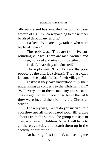allowance and has awarded me with a token reward of Rs.109/- corresponding to the number baptised through my efforts."

I asked, "Who are they, father, who were baptised today?"

The reply was, "They are from five surrounding villages. There are men, women and children, hundred and nine souls together."

I asked, "Are they all educated?"

The reply was, "No. They are the poor people of the cheries (slums). They are only labours in the paddy fields of their villages."

I asked if they have understood fully their undertaking as converts to the Christian faith? "Will every one of them stand any cross exam ination against their decision to leave the folds they were in, and their joining the Christian belief?"

The reply was, "What do you mean? I told you they are all uneducated poor illiterates labours from the slums. The group consists of men, women and children. Now, I will have to go there everyday and coach them up in the doctrine of our faith."

On hearing this I smiled, and seeing me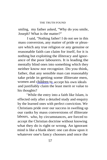smiling, my father asked, "Why do you smile, Joseph? What is the matter?"

I said, "Nothing father! I do not see in this mass conversion, any matter of pride or pleasure which any true religion or any genuine or reasonable faith can claim for itself, for it is nothing but exploiting the illiteracy and ignorance of the poor labourers. It is leading the mentally blind ones into something which they neither know nor recognize. Do you think, father, that any sensible man can reasonably take pride in getting some illiterate men, women and [children](http://children.to) t[o](http://children.to) accept his own ideals and justifiably claim the least merit or value to his thoughts?

"While the entry into a faith like Islam, is effected only after a detailed study and enquiry by the learned ones with perfect conviction. We Christians pride over our success in swelling up our ranks by mass conversions of illiterate labours, who, by circumstances, are forced to accept the Christian doctrine without knowing what they do is right or wrong. An ignorant mind is like a blank sheet: one can draw upon it whatever one's fancy chooses and once the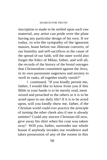#### SEARCH FOR TRUTH

inscription is made to be settled upon such raw material, any artist can pride over the plate having any particular design of his own. If we today, to win the sympathy of the ignorant masses, boast before our illiterate converts, of our humility and self-sacrifices in the cause of the spread of our faith, will the outer world also forget the Edict of Milan, father, and will all, the records of the history of the brutal outrages that Christendom committed against the Jews, in its own passionate eagerness and anxiety to swell its ranks, all together totally vanish?"

I continued, "If you kindly permit me, father, I would like to know from you if this Bible in your hands is to be merely read, mem orized and preached to the others or it is to be acted upon in our daily life? If it is to be acted upon, will you kindly show me, father, if the Christian world could ever practice the principle of turning the other cheek also if one is already smitten? Could any sincere Christian till now, give away his shirt when his coat was taken away? Will you, father, surrender our whole house if anybody invades our residence and takes possession of any of the rooms in this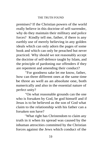# THE TRUTH FOUND

premises? If the Christian powers of the world really believe in this doctrine of self-surrender, why do they maintain their millitary and police forces? Kindly tell me, father, if there is any earthly use of merely believing in any golden ideals which can only adorn the pages of some book and which can only be preached but never practiced. Why should we not reasonably accept the doctrine of self-defence taught by Islam, and the principle of pardoning our offenders if they are repentent and amending their conduct?

"For goodness sake let me know, father, how can three different ones at the same time be three as well as an absolute one, both numerically and also in the essential nature of perfect unity?

"On what reasonable grounds can the one who is forsaken by God, be god himself and if Jesus is to be believed as the son of God what claim to the relationship with his father can a forsaken son have?

"What right has Christendom to claim any truth in it when its spread was caused by the inhuman attrocities committed by the Christian forces against the Jews which conduct of the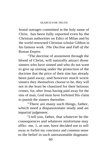brutal outrages committed in the holy name of Christ, has been fully reported even by the Christian authorities on Edict of Milan and by the world renowned Christian scholar Gibbon in his famous work *The Decline and Fall of the Roman Empire.*

"The doctrine of atonement through the blood of Christ, will naturally attract those sinners who have sinned and who do not want to give up sinning under the protection of the doctrine that the price of their sins has already been paid away, and however much worst sinners they themselves choose to be, they will not in the least be chastised for their heinous crimes, for, after Jesus having paid away for the sins of man, God must have forfeited His claim to punish the sinners thereafter.

"There are many such things, father, which need a dispassionate study and an impartial judgement.

"I tell you, father, that whatever be the consequences and whatever misfortune may afflict me, 1, as one, have decided not to sell away or forfeit my concience and common sense to the belief in such unreasonable dogmatic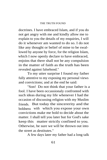## THE TRUTH FOUND

doctrines. I have embraced Islam, and if you do not get angry with me and kindly allow me to explain to you the details of my enquiries, I will do it whenever am wanted to do so. I do not like any thought or belief of mine to be swallowed by anyone by force, for the religion Islam, which I now openly declare to have embraced, enjoins that there shall not be any compulsion in the matter of faith as the truth has been revealed against falsehood."

To my utter surprise I found my father fully attentive to my exposing my personal views and convictions; and at the end he said:

"Son! Do not think that your father is a fool. I have been occassionaly confronted with such ideas during my life whenever I had the occasion of discussing religion with my Muslim friends. But today the sincererity and the boldness with which you expose your own convictions make me bold to decide about the matter. I shall tell you later but for God's sake keep this matter strictly confined to you. Otherwise, be sure we will be thrown out into the street as destitutes."

A few days later my father had a long talk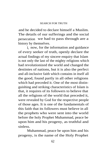and he decided to declare himself a Muslim. The details of our sufferings and the social persecution we had to pass through are a history by themselves.

I, now, for the information and guidance of every seeker of truth, openly declare the actual findings of my sincere enquiry that Islam is not only the last of the mighty religions which had revolutionized the world and changed the destinies of nations, but it is also the perfect and all-inclusive faith which contains in itself all the good, found partly in all other religions which had preceded it. One of the most distinguishing and striking characteristics of Islam is that, it requires of its followers to believe that all the religions of the world that preceded it, were revealed by God for the respective people of those ages. It is one of the fundamentals of this faith that its followers must believe in all the prophets who were sent into the world before the holy Prophet Muhammad, peace be upon him and his progeny, as truthful and sinless.

Muhammad, peace be upon him and his progeny, is the name of the Holy Prophet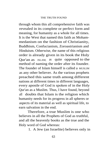through whom this all comprehensive faith was revealed in its complete or perfect form and meaning, for humanity as a whole for all times. It is the West that named this faith as Mohammedanism on the fashion of Christianity, Buddhism, Confucianism, Zoroastrianism and Hinduism. Otherwise, the name of this religious order is already given in its book the Holy Qur'an as ISLAM, as quite opposed to the method of naming the order after its founder. The founder of Islam himself is called a MUSLIM as any other believer. As the various prophets preached this same truth among different nations at different times in different languages, every apostle of God is spoken of in the Holy Qur'an as a Muslim. Thus, I have found, beyond all doubts that Islam is the religion which humanity needs for its progress in all spheres or aspects of its material as well as spiritual life, to earn salvation in the end.

Therefore, a true Muslim is one who believes in all the Prophets of God as truthful, and all the heavenly books as the true and the Holy word of God whereas:

1. A Jew (an Israelite) believes only in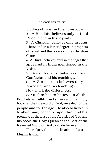prophets of Israel and their own books.

2. A Buddhist believes only in Lord Buddha and in his sayings.

3. A Christian believes only in Jesus Christ and in a lesser degree in prophets of Israel and the books of the Christian Church.

4. A Hindu believes only in the sages that appeared in India mentioned in the Vedas.

5. A Confucianist believes only in Confucius and his teachings.

6. A Zoroastrian believes only in Zoroaster and his teachings.

Now mark the differences:

A Muslim has to believe in all the Prophets as truthful and sinless and their holy books as the true word of God, revealed for the people and for the age. He also believes in Muhammad, peace be upon him and his progeny, as the Last of the Apostles of God and his book, the Holy Qur'an as the Last of the Revealed Word of God to abide for ever.

Therefore, the identification of a true Muslim is that: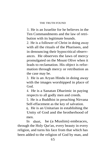## THE TRUTH FOUND

1. He is an Israelite for he believes in the Ten Commandments and the law of retribution with its legitimate bounds.

2. He is a follower of Christ in doing away with all the rituals of the Pharisees, and in denouncing their hypocritical observances. He observes the laws of mercy promulgated on the Mount Olive when it leads to reclamation. His object is reformation through mercy or retribution as the case may be.

3. He is an Aryan Hindu in doing away with the images worshipped in place of God.

4. He is a Sanatan Dharimic in paying respects to all godly men and creeds.

5. He is a Buddhist in preaching Nirvana Self-effacement as the key of salvation.

6. He is an Unitarian in establishing the Unity of God and the brotherhood of men.

In short, he (a Muslim) embraces, through the Holy Qur'an, every beauty in every religion, and turns his face from that which has been added to the religion of God by man, and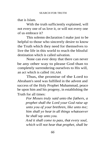that is Islam.

With the truth sufficiently explained, will not every one of us love it, or will not every one of us embrace it?

This solemn declaration I make just to be helpful to those who sincerely desire to know the Truth which they need for themselves to live the life in this world to reach the blissful destination which is called salvation.

None can ever deny that there can never be any other way to please God than to completely surrendering ourselves to His will, an act which is called ISLAM.

Thus, the promise of the Lord to Abraham's seed was fulfilled in the advent and success of the Holy Prophet Muhammad, peace be upon him and his progeny, in establishing the Truth for all times:

> *For Moses truly said unto the fathers, a prophet shall the Lord your God raise up unto you of your brethren, like unto me; him shall ye hear in all things whatsoever he shall say unto you.*

*And it shall come to pass, that every soul, which will not hear that prophet, shall be*